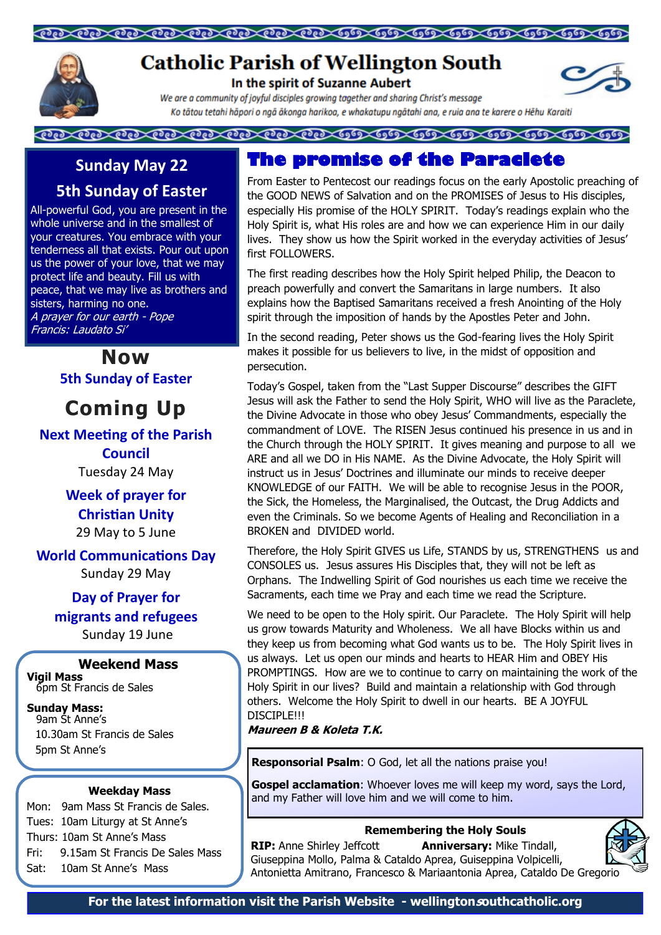### 



# **Catholic Parish of Wellington South**

In the spirit of Suzanne Aubert

We are a community of joyful disciples growing tagether and sharing Christ's message Ko tātou tetahi hāpori o ngā ākonga harikoa, e whakatupu ngātahi ana, e ruia ana te karere o Hēhu Karaiti

## **Sunday May 22**

## **5th Sunday of Easter**

All-powerful God, you are present in the whole universe and in the smallest of your creatures. You embrace with your tenderness all that exists. Pour out upon us the power of your love, that we may protect life and beauty. Fill us with peace, that we may live as brothers and sisters, harming no one. A prayer for our earth - Pope Francis: Laudato Si'

> **Now 5th Sunday of Easter**

**Coming Up**

### **Next Meeting of the Parish**

**Council** Tuesday 24 May

**Week of prayer for Christian Unity**  29 May to 5 June

### **World Communications Day**

Sunday 29 May

**Day of Prayer for migrants and refugees** Sunday 19 June

### **Weekend Mass**

**Vigil Mass**  6pm St Francis de Sales

### **Sunday Mass:**

9am St Anne's 10.30am St Francis de Sales 5pm St Anne's

### **Weekday Mass**

Mon: 9am Mass St Francis de Sales. Tues: 10am Liturgy at St Anne's Thurs: 10am St Anne's Mass Fri: 9.15am St Francis De Sales Mass Sat: 10am St Anne's Mass

## **The promise of the Paraclete**

From Easter to Pentecost our readings focus on the early Apostolic preaching of the GOOD NEWS of Salvation and on the PROMISES of Jesus to His disciples, especially His promise of the HOLY SPIRIT. Today's readings explain who the Holy Spirit is, what His roles are and how we can experience Him in our daily lives. They show us how the Spirit worked in the everyday activities of Jesus' first FOLLOWERS.

The first reading describes how the Holy Spirit helped Philip, the Deacon to preach powerfully and convert the Samaritans in large numbers. It also explains how the Baptised Samaritans received a fresh Anointing of the Holy spirit through the imposition of hands by the Apostles Peter and John.

In the second reading, Peter shows us the God-fearing lives the Holy Spirit makes it possible for us believers to live, in the midst of opposition and persecution.

Today's Gospel, taken from the "Last Supper Discourse" describes the GIFT Jesus will ask the Father to send the Holy Spirit, WHO will live as the Paraclete, the Divine Advocate in those who obey Jesus' Commandments, especially the commandment of LOVE. The RISEN Jesus continued his presence in us and in the Church through the HOLY SPIRIT. It gives meaning and purpose to all we ARE and all we DO in His NAME. As the Divine Advocate, the Holy Spirit will instruct us in Jesus' Doctrines and illuminate our minds to receive deeper KNOWLEDGE of our FAITH. We will be able to recognise Jesus in the POOR, the Sick, the Homeless, the Marginalised, the Outcast, the Drug Addicts and even the Criminals. So we become Agents of Healing and Reconciliation in a BROKEN and DIVIDED world.

Therefore, the Holy Spirit GIVES us Life, STANDS by us, STRENGTHENS us and CONSOLES us. Jesus assures His Disciples that, they will not be left as Orphans. The Indwelling Spirit of God nourishes us each time we receive the Sacraments, each time we Pray and each time we read the Scripture.

We need to be open to the Holy spirit. Our Paraclete. The Holy Spirit will help us grow towards Maturity and Wholeness. We all have Blocks within us and they keep us from becoming what God wants us to be. The Holy Spirit lives in us always. Let us open our minds and hearts to HEAR Him and OBEY His PROMPTINGS. How are we to continue to carry on maintaining the work of the Holy Spirit in our lives? Build and maintain a relationship with God through others. Welcome the Holy Spirit to dwell in our hearts. BE A JOYFUL DISCIPI FIII

**Maureen B & Koleta T.K.**

**Responsorial Psalm**: O God, let all the nations praise you!

**Gospel acclamation:** Whoever loves me will keep my word, says the Lord, and my Father will love him and we will come to him.

### **Remembering the Holy Souls**

**RIP:** Anne Shirley Jeffcott **Anniversary:** Mike Tindall, Giuseppina Mollo, Palma & Cataldo Aprea, Guiseppina Volpicelli, Antonietta Amitrano, Francesco & Mariaantonia Aprea, Cataldo De Gregorio